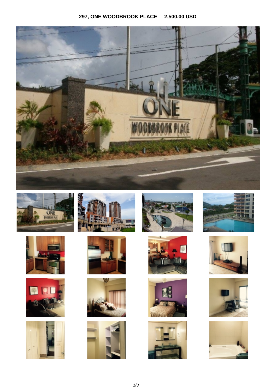## **297, ONE WOODBROOK PLACE 2,500.00 USD**

































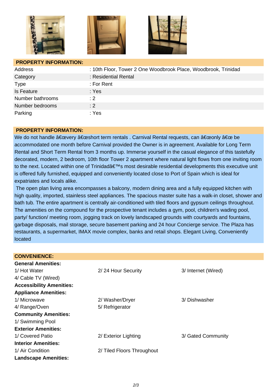





## **PROPERTY INFORMATION:**

| Address           | : 10th Floor, Tower 2 One Woodbrook Place, Woodbrook, Trinidad |
|-------------------|----------------------------------------------------------------|
| Category          | : Residential Rental                                           |
| <b>Type</b>       | : For Rent                                                     |
| <b>Is Feature</b> | : Yes                                                          |
| Number bathrooms  | $\div 2$                                                       |
| Number bedrooms   | : 2                                                            |
| Parking           | : Yes                                                          |

## **PROPERTY INFORMATION:**

We do not handle "very "short term rentals . Carnival Rental requests, can "only " be accommodated one month before Carnival provided the Owner is in agreement. Available for Long Term Rental and Short Term Rental from 3 months up. Immerse yourself in the casual elegance of this tastefully decorated, modern, 2 bedroom, 10th floor Tower 2 apartment where natural light flows from one inviting room to the next. Located within one of Trinidad's most desirable residential developments this executive unit is offered fully furnished, equipped and conveniently located close to Port of Spain which is ideal for expatriates and locals alike.

 The open plan living area encompasses a balcony, modern dining area and a fully equipped kitchen with high quality, imported, stainless steel appliances. The spacious master suite has a walk-in closet, shower and bath tub. The entire apartment is centrally air-conditioned with tiled floors and gypsum ceilings throughout. The amenities on the compound for the prospective tenant includes a gym, pool, children's wading pool, party/ function/ meeting room, jogging track on lovely landscaped grounds with courtyards and fountains, garbage disposals, mail storage, secure basement parking and 24 hour Concierge service. The Plaza has restaurants, a supermarket, IMAX movie complex, banks and retail shops. Elegant Living, Conveniently located

| <b>CONVENIENCE:</b>             |                            |                     |
|---------------------------------|----------------------------|---------------------|
| <b>General Amenities:</b>       |                            |                     |
| 1/ Hot Water                    | 2/24 Hour Security         | 3/ Internet (Wired) |
| 4/ Cable TV (Wired)             |                            |                     |
| <b>Accessibility Amenities:</b> |                            |                     |
| <b>Appliance Amenities:</b>     |                            |                     |
| 1/ Microwave                    | 2/ Washer/Dryer            | 3/ Dishwasher       |
| 4/ Range/Oven                   | 5/ Refrigerator            |                     |
| <b>Community Amenities:</b>     |                            |                     |
| 1/ Swimming Pool                |                            |                     |
| <b>Exterior Amenities:</b>      |                            |                     |
| 1/ Covered Patio                | 2/ Exterior Lighting       | 3/ Gated Community  |
| <b>Interior Amenities:</b>      |                            |                     |
| 1/ Air Condition                | 2/ Tiled Floors Throughout |                     |
| <b>Landscape Amenities:</b>     |                            |                     |
|                                 |                            |                     |